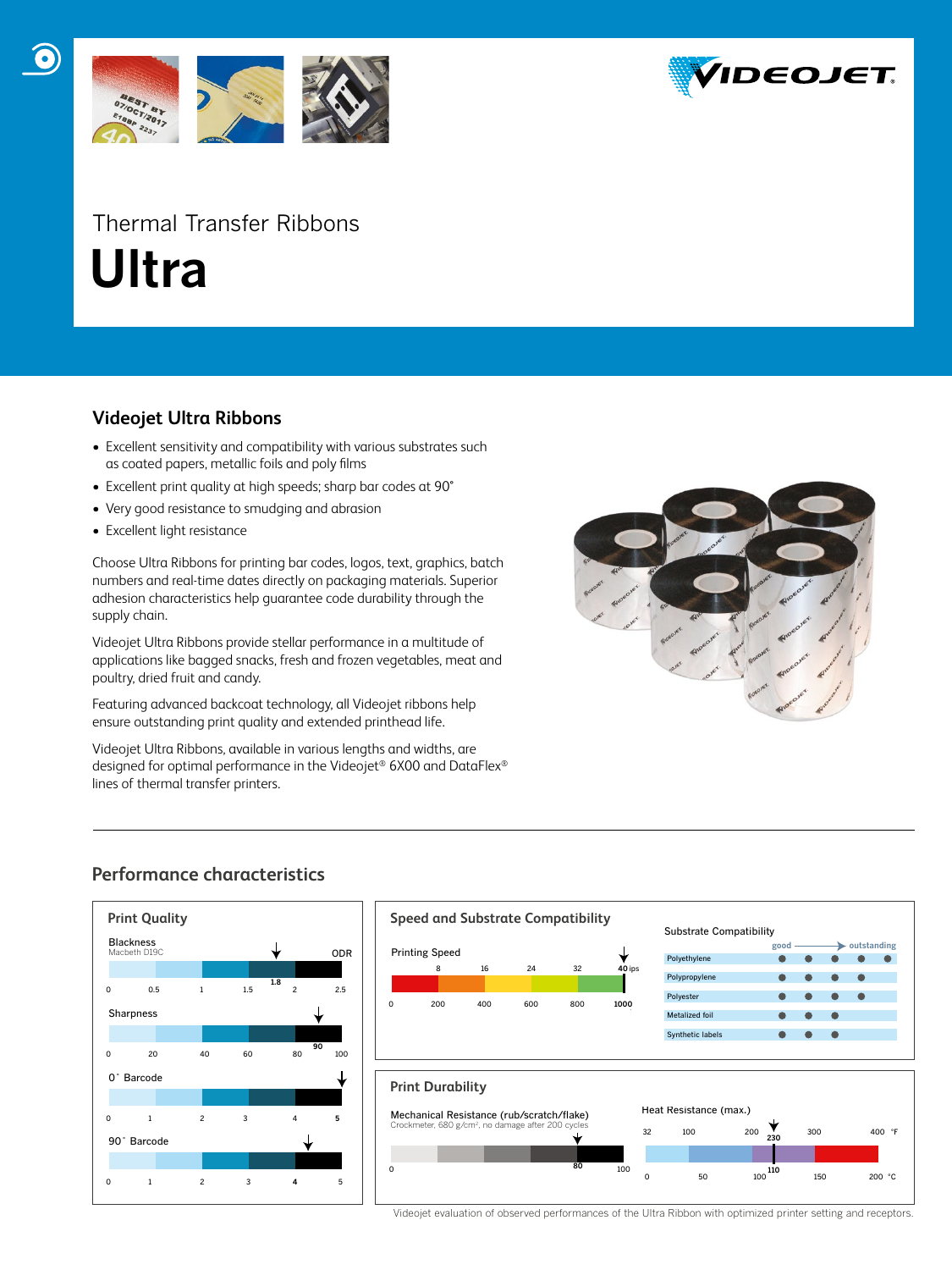

# Thermal Transfer Ribbons  **Ultra**

### **Videojet Ultra Ribbons**

- Excellent sensitivity and compatibility with various substrates such as coated papers, metallic foils and poly films
- Excellent print quality at high speeds; sharp bar codes at 90°
- Very good resistance to smudging and abrasion
- Excellent light resistance

Choose Ultra Ribbons for printing bar codes, logos, text, graphics, batch numbers and real-time dates directly on packaging materials. Superior adhesion characteristics help guarantee code durability through the supply chain.

Videojet Ultra Ribbons provide stellar performance in a multitude of applications like bagged snacks, fresh and frozen vegetables, meat and poultry, dried fruit and candy.

Featuring advanced backcoat technology, all Videojet ribbons help ensure outstanding print quality and extended printhead life.

Videojet Ultra Ribbons, available in various lengths and widths, are designed for optimal performance in the Videojet® 6X00 and DataFlex® lines of thermal transfer printers.



## **Performance characteristics**





Videojet evaluation of observed performances of the Ultra Ribbon with optimized printer setting and receptors.